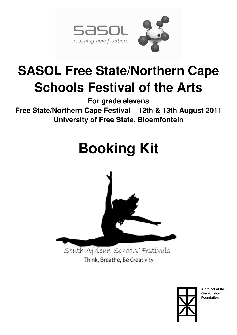

## **SASOL Free State/Northern Cape Schools Festival of the Arts**

**For grade elevens Free State/Northern Cape Festival – 12th & 13th August 2011 University of Free State, Bloemfontein** 

# **Booking Kit**



Think, Breathe, Be Creativity



**A project of the Grahamstown Foundation**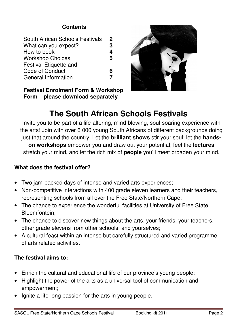## **Contents**

**Festival Enrolment Form & Workshop Form – please download separately** 



## **The South African Schools Festivals**

Invite you to be part of a life-altering, mind-blowing, soul-soaring experience with the arts! Join with over 6 000 young South Africans of different backgrounds doing just that around the country. Let the **brilliant shows** stir your soul; let the **handson workshops** empower you and draw out your potential; feel the **lectures** stretch your mind, and let the rich mix of **people** you'll meet broaden your mind.

## **What does the festival offer?**

- Two jam-packed days of intense and varied arts experiences;
- Non-competitive interactions with 400 grade eleven learners and their teachers, representing schools from all over the Free State/Northern Cape;
- The chance to experience the wonderful facilities at University of Free State, Bloemfontein;
- The chance to discover new things about the arts, your friends, your teachers, other grade elevens from other schools, and yourselves;
- A cultural feast within an intense but carefully structured and varied programme of arts related activities.

## **The festival aims to:**

- Enrich the cultural and educational life of our province's young people;
- Highlight the power of the arts as a universal tool of communication and empowerment;
- Ignite a life-long passion for the arts in young people.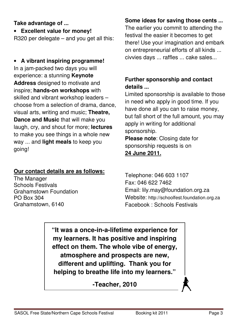## **Take advantage of ...**

• **Excellent value for money!** 

R320 per delegate – and you get all this:

## • **A vibrant inspiring programme!** In a jam-packed two days you will experience: a stunning **Keynote Address** designed to motivate and inspire; **hands-on workshops** with skilled and vibrant workshop leaders – choose from a selection of drama, dance, visual arts, writing and music; **Theatre, Dance and Music** that will make you laugh, cry, and shout for more; **lectures** to make you see things in a whole new way ... and **light meals** to keep you going!

## **Our contact details are as follows:**

The Manager Schools Festivals Grahamstown Foundation PO Box 304 Grahamstown, 6140

## **Some ideas for saving those cents ...**

The earlier you commit to attending the festival the easier it becomes to get there! Use your imagination and embark on entrepreneurial efforts of all kinds ... civvies days ... raffles ... cake sales...

## **Further sponsorship and contact details ...**

Limited sponsorship is available to those in need who apply in good time. If you have done all you can to raise money, but fall short of the full amount, you may apply in writing for additional sponsorship. **Please note**: Closing date for

sponsorship requests is on

## **24 June 2011.**

Telephone: 046 603 1107 Fax: 046 622 7462 Email: lily.may@foundation.org.za Website: http://schoolfest.foundation.org.za Facebook : Schools Festivals

**"It was a once-in-a-lifetime experience for my learners. It has positive and inspiring effect on them. The whole vibe of energy, atmosphere and prospects are new, different and uplifting. Thank you for helping to breathe life into my learners."** 

**-Teacher, 2010**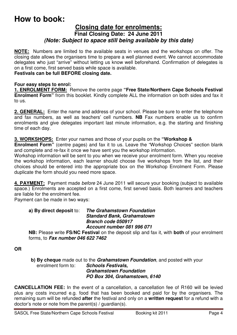## **How to book:**

### **Closing date for enrolments: Final Closing Date: 24 June 2011**  *(Note: Subject to space still being available by this date)*

**NOTE:** Numbers are limited to the available seats in venues and the workshops on offer. The closing date allows the organisers time to prepare a well planned event. We cannot accommodate delegates who just "arrive" without letting us know well beforehand. Confirmation of delegates is on a first come, first served basis while space is available.

#### **Festivals can be full BEFORE closing date.**

#### **Four easy steps to enrol:**

**1. ENROLMENT FORM:** Remove the centre page **"Free State/Northern Cape Schools Festival Enrolment Form"** from this booklet. Kindly complete ALL the information on both sides and fax it to us.

**2. GENERAL:** Enter the name and address of your school. Please be sure to enter the telephone and fax numbers, as well as teachers' cell numbers. **NB** Fax numbers enable us to confirm enrolments and give delegates important last minute information, e.g. the starting and finishing time of each day.

#### **3. WORKSHOPS:** Enter your names and those of your pupils on the **"Workshop &**

**Enrolment Form"** (centre pages) and fax it to us. Leave the "Workshop Choices" section blank and complete and re-fax it once we have sent you the workshop information.

Workshop information will be sent to you when we receive your enrolment form. When you receive the workshop information, each learner should choose five workshops from the list, and their choices should be entered into the appropriate box on the Workshop Enrolment Form. Please duplicate the form should you need more space.

**4. PAYMENT:** Payment made *before* 24 June 2011 will secure your booking (subject to available space.) Enrolments are accepted on a first come, first served basis. Both learners and teachers are liable for the enrolment fee.

Payment can be made in two ways:

#### **a) By direct deposit** to: *The Grahamstown Foundation Standard Bank, Grahamstown Branch code 050917 Account number 081 996 071*

**NB:** Please write **FS/NC Festival** on the deposit slip and fax it, with **both** of your enrolment forms, to *Fax number 046 622 7462* 

**OR**

 **b) By cheque** made out to the *Grahamstown Foundation*, and posted with your enrolment form to: *Schools Festivals, Grahamstown Foundation PO Box 304, Grahamstown, 6140* 

**CANCELLATION FEE:** In the event of a cancellation, a cancellation fee of R160 will be levied plus any costs incurred e.g. food that has been booked and paid for by the organisers. The remaining sum will be refunded **after** the festival and only on a **written request** for a refund with a doctor's note or note from the parent(s) / guardian(s).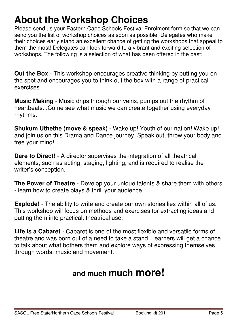## **About the Workshop Choices**

Please send us your Eastern Cape Schools Festival Enrolment form so that we can send you the list of workshop choices as soon as possible. Delegates who make their choices early stand an excellent chance of getting the workshops that appeal to them the most! Delegates can look forward to a vibrant and exciting selection of workshops. The following is a selection of what has been offered in the past:

**Out the Box** - This workshop encourages creative thinking by putting you on the spot and encourages you to think out the box with a range of practical exercises.

**Music Making** - Music drips through our veins, pumps out the rhythm of heartbeats...Come see what music we can create together using everyday rhythms.

**Shukum Uthethe (move & speak)** - Wake up! Youth of our nation! Wake up! and join us on this Drama and Dance journey. Speak out, throw your body and free your mind!

**Dare to Direct!** - A director supervises the integration of all theatrical elements, such as acting, staging, lighting, and is required to realise the writer's conception.

**The Power of Theatre** - Develop your unique talents & share them with others - learn how to create plays & thrill your audience.

**Explode!** - The ability to write and create our own stories lies within all of us. This workshop will focus on methods and exercises for extracting ideas and putting them into practical, theatrical use.

**Life is a Cabaret** *-* Cabaret is one of the most flexible and versatile forms of theatre and was born out of a need to take a stand. Learners will get a chance to talk about what bothers them and explore ways of expressing themselves through words, music and movement.

## **and much much more!**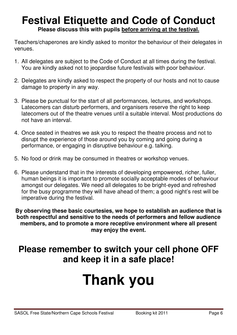## **Festival Etiquette and Code of Conduct Please discuss this with pupils before arriving at the festival.**

Teachers/chaperones are kindly asked to monitor the behaviour of their delegates in venues.

- 1. All delegates are subject to the Code of Conduct at all times during the festival. You are kindly asked not to jeopardise future festivals with poor behaviour.
- 2. Delegates are kindly asked to respect the property of our hosts and not to cause damage to property in any way.
- 3. Please be punctual for the start of all performances, lectures, and workshops. Latecomers can disturb performers, and organisers reserve the right to keep latecomers out of the theatre venues until a suitable interval. Most productions do not have an interval.
- 4. Once seated in theatres we ask you to respect the theatre process and not to disrupt the experience of those around you by coming and going during a performance, or engaging in disruptive behaviour e.g. talking.
- 5. No food or drink may be consumed in theatres or workshop venues.
- 6. Please understand that in the interests of developing empowered, richer, fuller, human beings it is important to promote socially acceptable modes of behaviour amongst our delegates. We need all delegates to be bright-eyed and refreshed for the busy programme they will have ahead of them; a good night's rest will be imperative during the festival.

**By observing these basic courtesies, we hope to establish an audience that is both respectful and sensitive to the needs of performers and fellow audience members, and to promote a more receptive environment where all present may enjoy the event.** 

## **Please remember to switch your cell phone OFF and keep it in a safe place!**

# **Thank you**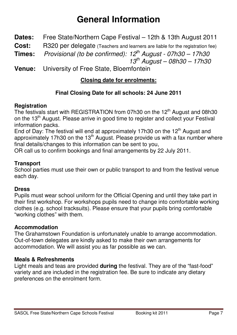## **General Information**

- **Dates:** Free State/Northern Cape Festival 12th & 13th August 2011
- **Cost:** R320 per delegate (Teachers and learners are liable for the registration fee)
- **Times:** *Provisional (to be confirmed): 12th August 07h30 17h30*

 *13th August – 08h30 – 17h30* 

**Venue:** University of Free State, Bloemfontein

## **Closing date for enrolments:**

## **Final Closing Date for all schools: 24 June 2011**

## **Registration**

The festivals start with REGISTRATION from 07h30 on the 12<sup>th</sup> August and 08h30 on the 13<sup>th</sup> August. Please arrive in good time to register and collect your Festival information packs.

End of Day: The festival will end at approximately 17h30 on the 12<sup>th</sup> August and approximately 17h30 on the 13<sup>th</sup> August. Please provide us with a fax number where final details/changes to this information can be sent to you,

OR call us to confirm bookings and final arrangements by 22 July 2011.

## **Transport**

School parties must use their own or public transport to and from the festival venue each day.

## **Dress**

Pupils must wear school uniform for the Official Opening and until they take part in their first workshop. For workshops pupils need to change into comfortable working clothes (e.g. school tracksuits). Please ensure that your pupils bring comfortable "working clothes" with them.

## **Accommodation**

The Grahamstown Foundation is unfortunately unable to arrange accommodation. Out-of-town delegates are kindly asked to make their own arrangements for accommodation. We will assist you as far possible as we can.

## **Meals & Refreshments**

Light meals and teas are provided **during** the festival. They are of the "fast-food" variety and are included in the registration fee. Be sure to indicate any dietary preferences on the enrolment form.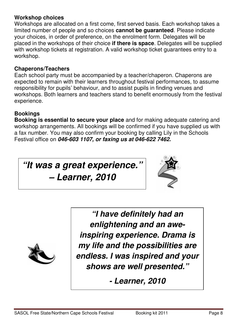### **Workshop choices**

Workshops are allocated on a first come, first served basis. Each workshop takes a limited number of people and so choices **cannot be guaranteed**. Please indicate your choices, in order of preference, on the enrolment form. Delegates will be placed in the workshops of their choice **if there is space**. Delegates will be supplied with workshop tickets at registration. A valid workshop ticket guarantees entry to a workshop.

### **Chaperons/Teachers**

Each school party must be accompanied by a teacher/chaperon. Chaperons are expected to remain with their learners throughout festival performances, to assume responsibility for pupils' behaviour, and to assist pupils in finding venues and workshops. Both learners and teachers stand to benefit enormously from the festival experience.

## **Bookings**

**Booking is essential to secure your place** and for making adequate catering and workshop arrangements. All bookings will be confirmed if you have supplied us with a fax number. You may also confirm your booking by calling Lily in the Schools Festival office on *046-603 1107, or faxing us at 046-622 7462.* 

*"It was a great experience."* 

*– Learner, 2010* 





*"I have definitely had an enlightening and an aweinspiring experience. Drama is my life and the possibilities are endless. I was inspired and your shows are well presented."* 

*- Learner, 2010*